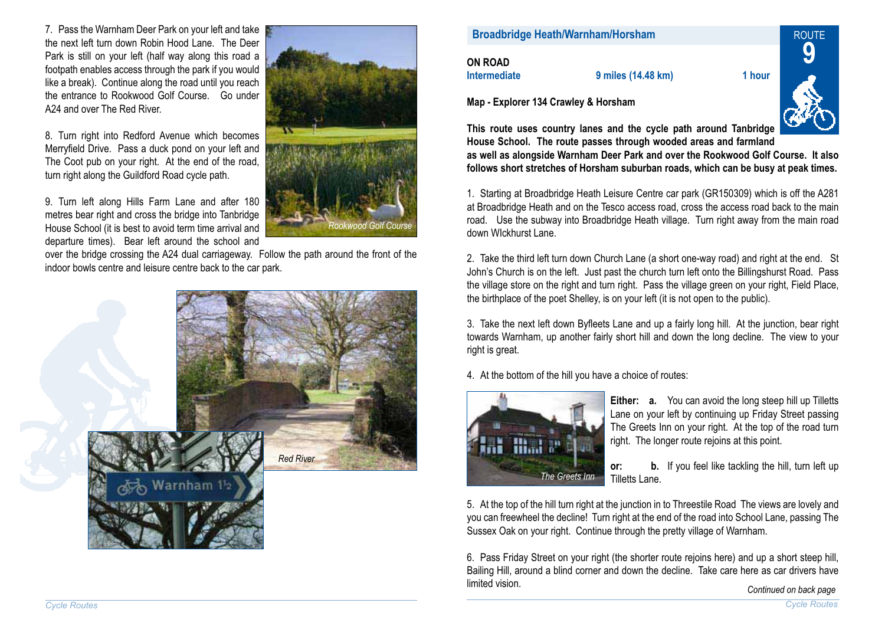T. Pass the Warnham Deer Park on your left and take **the next left and take the next left turn down Robin Horsham**<br>the next left turn down Robin Hood Lane. The Deer **the next left to next left turn down Robin Horsham** Park is still on your left (half way along this road <sup>a</sup> footpath enables access through the park if you would like <sup>a</sup> break). Continue along the road until you reach the entrance to Rookwood Golf Course. Go underA24 and over The Red River.

8. Turn right into Redford Avenue which becomes Merryfield Drive. Pass a duck pond on your left and The Coot pub on your right. At the end of the road, turn right along the Guildford Road cycle path.

9. Turn left along Hills Farm Lane and after 180 metres bear right and cross the bridge into Tanbridge House School (it is best to avoid term time arrival and departure times). Bear left around the school and



over the bridge crossing the A24 dual carriageway. Follow the path around the front of the indoor bowls centre and leisure centre back to the car park.



| Map - Explorer 134 Crawley & Horsham     |                    |        |            |
|------------------------------------------|--------------------|--------|------------|
| <b>ON ROAD</b><br><b>Intermediate</b>    | 9 miles (14.48 km) | 1 hour |            |
| <b>Broadbridge Heath/Warnham/Horsham</b> |                    |        | <b>ROU</b> |
|                                          |                    |        |            |
|                                          |                    |        |            |



**This route uses country lanes and the cycle path around Tanbridge House School. The route passes through wooded areas and farmland** 

**as well as alongside Warnham Deer Park and over the Rookwood Golf Course. It also follows short stretches of Horsham suburban roads, which can be busy at peak times.**

1. Starting at Broadbridge Heath Leisure Centre car park (GR150309) which is off the A281 at Broadbridge Heath and on the Tesco access road, cross the access road back to the main road. Use the subway into Broadbridge Heath village. Turn right away from the main road down WIckhurst Lane.

2. Take the third left turn down Church Lane (a short one-way road) and right at the end. St John's Church is on the left. Just past the church turn left onto the Billingshurst Road. Pass the village store on the right and turn right. Pass the village green on your right, Field Place, the birthplace of the poet Shelley, is on your left (it is not open to the public).

3. Take the next left down Byfleets Lane and up a fairly long hill. At the junction, bear right towards Warnham, up another fairly short hill and down the long decline. The view to your right is great.

4. At the bottom of the hill you have <sup>a</sup> choice of routes:



**Either: a.** You can avoid the long steep hill up Tilletts Lane on your left by continuing up Friday Street passing The Greets Inn on your right. At the top of the road turn right. The longer route rejoins at this point.

**or: b.** If you feel like tackling the hill, turn left up Tilletts Lane.

5. At the top of the hill turn right at the junction in to Threestile Road The views are lovely and you can freewheel the decline! Turn right at the end of the road into School Lane, passing The Sussex Oak on your right. Continue through the pretty village of Warnham.

6. Pass Friday Street on your right (the shorter route rejoins here) and up a short steep hill. Bailing Hill, around <sup>a</sup> blind corner and down the decline. Take care here as car drivers have limited vision.